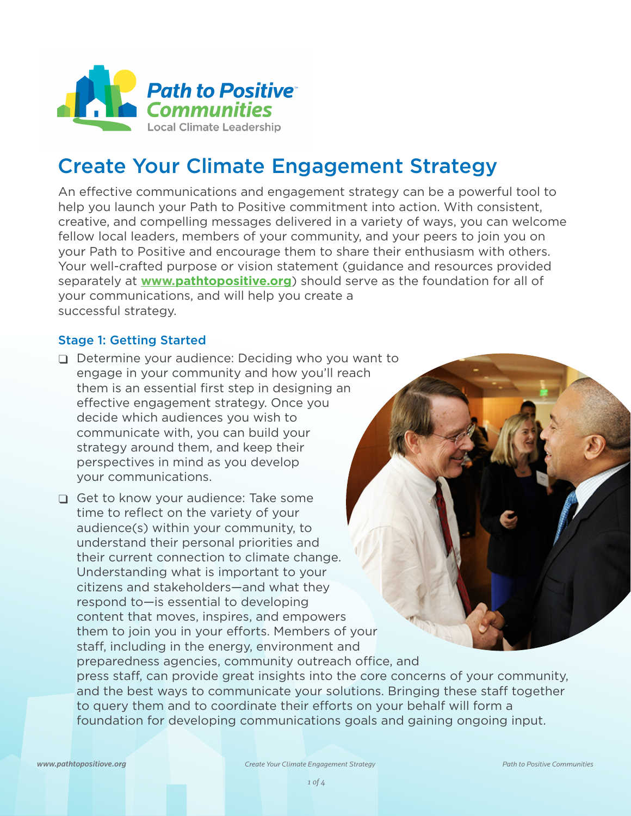

# Create Your Climate Engagement Strategy

An effective communications and engagement strategy can be a powerful tool to help you launch your Path to Positive commitment into action. With consistent, creative, and compelling messages delivered in a variety of ways, you can welcome fellow local leaders, members of your community, and your peers to join you on your Path to Positive and encourage them to share their enthusiasm with others. Your well-crafted purpose or vision statement (guidance and resources provided separately at **www.pathtopositiv[e.org](www.pathtopositive.org)**) should serve as the foundation for all of your communications, and will help you create a successful strategy.

### Stage 1: Getting Started

- $\Box$  Determine your audience: Deciding who you want to engage in your community and how you'll reach them is an essential first step in designing an effective engagement strategy. Once you decide which audiences you wish to communicate with, you can build your strategy around them, and keep their perspectives in mind as you develop your communications.
- **□** Get to know your audience: Take some time to reflect on the variety of your audience(s) within your community, to understand their personal priorities and their current connection to climate change. Understanding what is important to your citizens and stakeholders—and what they respond to—is essential to developing content that moves, inspires, and empowers them to join you in your efforts. Members of your staff, including in the energy, environment and preparedness agencies, community outreach office, and press staff, can provide great insights into the core concerns of your community, and the best ways to communicate your solutions. Bringing these staff together to query them and to coordinate their efforts on your behalf will form a foundation for developing communications goals and gaining ongoing input.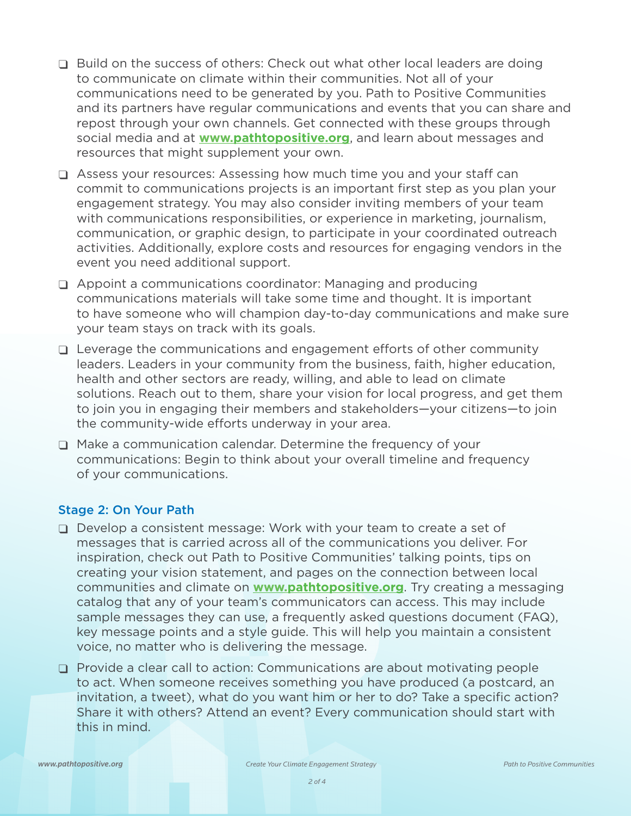- Build on the success of others: Check out what other local leaders are doing to communicate on climate within their communities. Not all of your communications need to be generated by you. Path to Positive Communities and its partners have regular communications and events that you can share and repost through your own channels. Get connected with these groups through social media and at **www.pathtopositiv[e.org](www.pathtopositive.org)**, and learn about messages and resources that might supplement your own.
- $\Box$  Assess your resources: Assessing how much time you and your staff can commit to communications projects is an important first step as you plan your engagement strategy. You may also consider inviting members of your team with communications responsibilities, or experience in marketing, journalism, communication, or graphic design, to participate in your coordinated outreach activities. Additionally, explore costs and resources for engaging vendors in the event you need additional support.
- $\Box$  Appoint a communications coordinator: Managing and producing communications materials will take some time and thought. It is important to have someone who will champion day-to-day communications and make sure your team stays on track with its goals.
- $\Box$  Leverage the communications and engagement efforts of other community leaders. Leaders in your community from the business, faith, higher education, health and other sectors are ready, willing, and able to lead on climate solutions. Reach out to them, share your vision for local progress, and get them to join you in engaging their members and stakeholders—your citizens—to join the community-wide efforts underway in your area.
- φ Make a communication calendar. Determine the frequency of your communications: Begin to think about your overall timeline and frequency of your communications.

#### Stage 2: On Your Path

- $\Box$  Develop a consistent message: Work with your team to create a set of messages that is carried across all of the communications you deliver. For inspiration, check out Path to Positive Communities' talking points, tips on creating your vision statement, and pages on the connection between local communities and climate on **www.pathtopositive[.org](www.pathtopositive.org)**. Try creating a messaging catalog that any of your team's communicators can access. This may include sample messages they can use, a frequently asked questions document (FAQ), key message points and a style guide. This will help you maintain a consistent voice, no matter who is delivering the message.
- φ Provide a clear call to action: Communications are about motivating people to act. When someone receives something you have produced (a postcard, an invitation, a tweet), what do you want him or her to do? Take a specific action? Share it with others? Attend an event? Every communication should start with this in mind.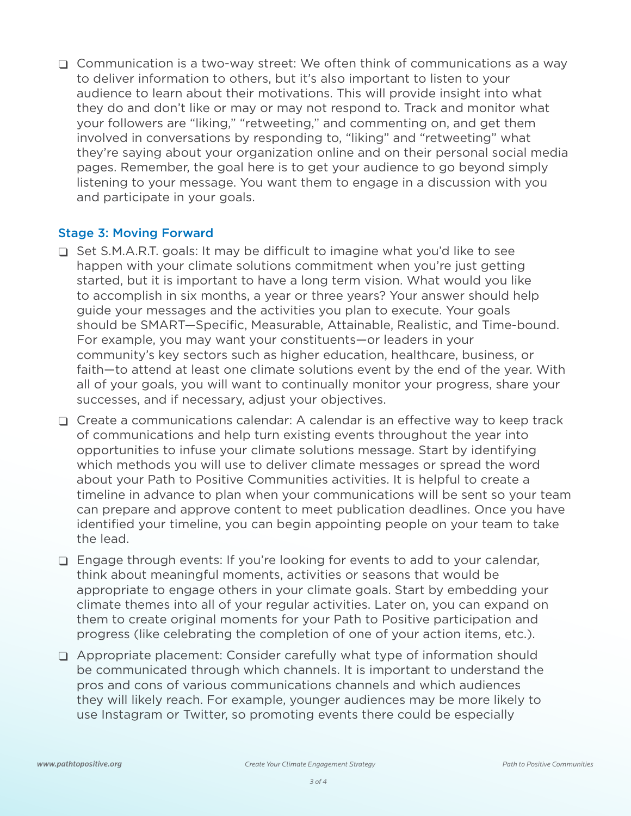$\Box$  Communication is a two-way street: We often think of communications as a way to deliver information to others, but it's also important to listen to your audience to learn about their motivations. This will provide insight into what they do and don't like or may or may not respond to. Track and monitor what your followers are "liking," "retweeting," and commenting on, and get them involved in conversations by responding to, "liking" and "retweeting" what they're saying about your organization online and on their personal social media pages. Remember, the goal here is to get your audience to go beyond simply listening to your message. You want them to engage in a discussion with you and participate in your goals.

## Stage 3: Moving Forward

- φ Set S.M.A.R.T. goals: It may be difficult to imagine what you'd like to see happen with your climate solutions commitment when you're just getting started, but it is important to have a long term vision. What would you like to accomplish in six months, a year or three years? Your answer should help guide your messages and the activities you plan to execute. Your goals should be SMART—Specific, Measurable, Attainable, Realistic, and Time-bound. For example, you may want your constituents—or leaders in your community's key sectors such as higher education, healthcare, business, or faith—to attend at least one climate solutions event by the end of the year. With all of your goals, you will want to continually monitor your progress, share your successes, and if necessary, adjust your objectives.
- $\Box$  Create a communications calendar: A calendar is an effective way to keep track of communications and help turn existing events throughout the year into opportunities to infuse your climate solutions message. Start by identifying which methods you will use to deliver climate messages or spread the word about your Path to Positive Communities activities. It is helpful to create a timeline in advance to plan when your communications will be sent so your team can prepare and approve content to meet publication deadlines. Once you have identified your timeline, you can begin appointing people on your team to take the lead.
- Engage through events: If you're looking for events to add to your calendar, think about meaningful moments, activities or seasons that would be appropriate to engage others in your climate goals. Start by embedding your climate themes into all of your regular activities. Later on, you can expand on them to create original moments for your Path to Positive participation and progress (like celebrating the completion of one of your action items, etc.).
- φ Appropriate placement: Consider carefully what type of information should be communicated through which channels. It is important to understand the pros and cons of various communications channels and which audiences they will likely reach. For example, younger audiences may be more likely to use Instagram or Twitter, so promoting events there could be especially